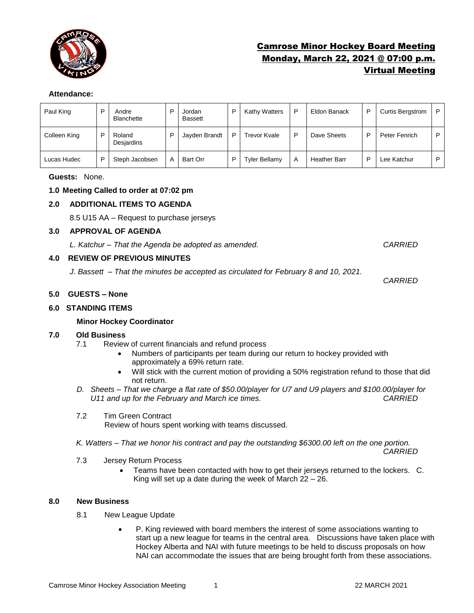

# Camrose Minor Hockey Board Meeting Monday, March 22, 2021 @ 07:00 p.m. Virtual Meeting

#### **Attendance:**

| Paul King    | D | Andre<br><b>Blanchette</b> | D | Jordan<br>Bassett | D | Kathy Watters        | P | Eldon Banack        | D | <b>Curtis Bergstrom</b> | P |
|--------------|---|----------------------------|---|-------------------|---|----------------------|---|---------------------|---|-------------------------|---|
| Colleen King | D | Roland<br>Desjardins       | D | Jayden Brandt     | D | Trevor Kvale         | D | Dave Sheets         | D | Peter Fenrich           | P |
| Lucas Hudec  | D | Steph Jacobsen             | A | <b>Bart Orr</b>   | D | <b>Tyler Bellamy</b> | Α | <b>Heather Barr</b> |   | Lee Katchur             | D |

#### **Guests:** None.

# **1.0 Meeting Called to order at 07:02 pm**

# **2.0 ADDITIONAL ITEMS TO AGENDA**

8.5 U15 AA – Request to purchase jerseys

#### **3.0 APPROVAL OF AGENDA**

*L. Katchur – That the Agenda be adopted as amended. CARRIED*

# **4.0 REVIEW OF PREVIOUS MINUTES**

*J. Bassett – That the minutes be accepted as circulated for February 8 and 10, 2021.* 

*CARRIED*

#### **5.0 GUESTS – None**

# **6.0 STANDING ITEMS**

# **Minor Hockey Coordinator**

# **7.0 Old Business**

- 7.1 Review of current financials and refund process
	- Numbers of participants per team during our return to hockey provided with approximately a 69% return rate.
	- Will stick with the current motion of providing a 50% registration refund to those that did not return.
- *D. Sheets – That we charge a flat rate of \$50.00/player for U7 and U9 players and \$100.00/player for U11 and up for the February and March ice times. CARRIED*
- 7.2 Tim Green Contract

Review of hours spent working with teams discussed.

*K. Watters – That we honor his contract and pay the outstanding \$6300.00 left on the one portion.* 

*CARRIED* 

- 7.3 Jersey Return Process
	- Teams have been contacted with how to get their jerseys returned to the lockers. C. King will set up a date during the week of March 22 – 26.

# **8.0 New Business**

- 8.1 New League Update
	- P. King reviewed with board members the interest of some associations wanting to start up a new league for teams in the central area. Discussions have taken place with Hockey Alberta and NAI with future meetings to be held to discuss proposals on how NAI can accommodate the issues that are being brought forth from these associations.